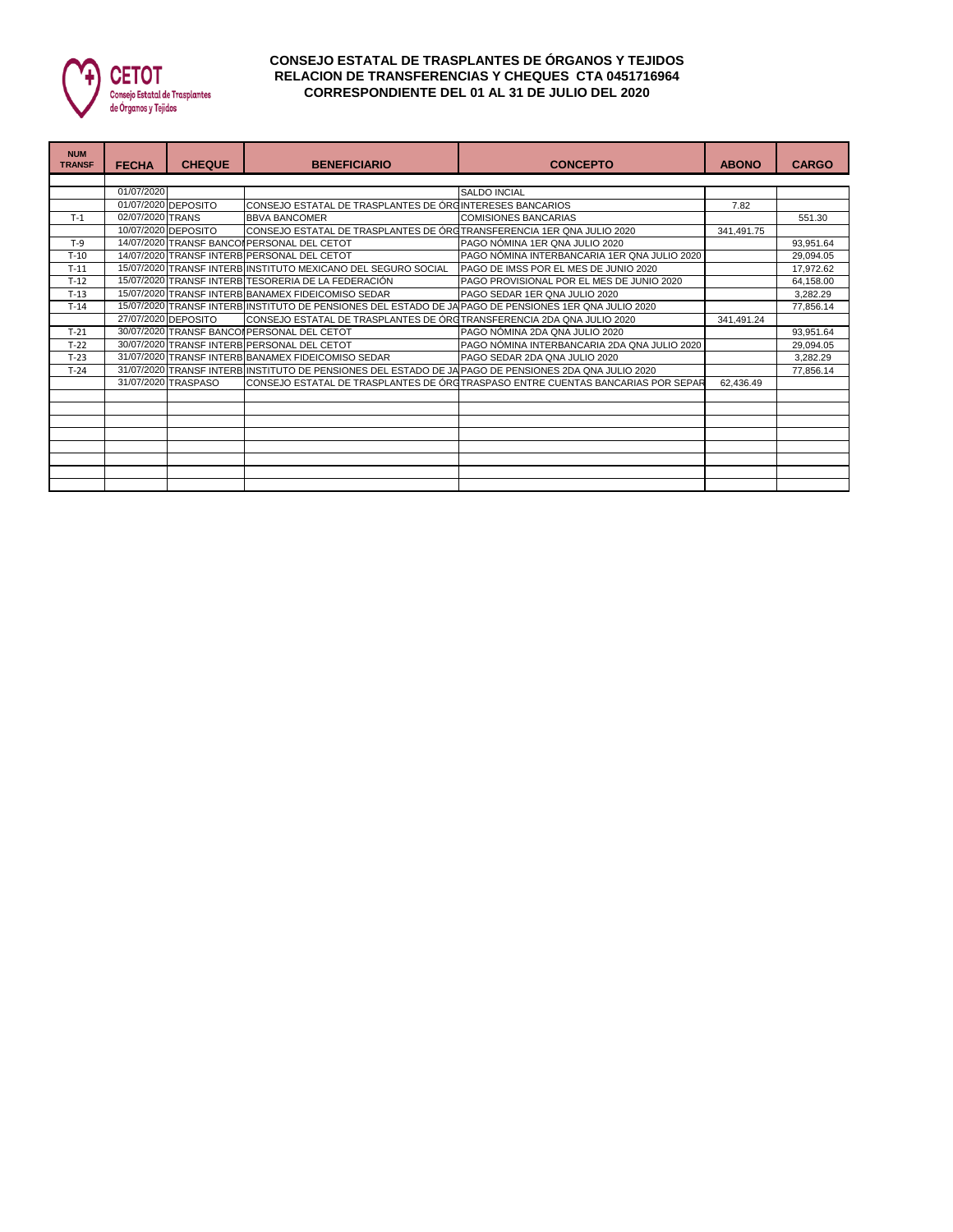

## **CONSEJO ESTATAL DE TRASPLANTES DE ÓRGANOS Y TEJIDOS RELACION DE TRANSFERENCIAS Y CHEQUES CTA 0451716964 CORRESPONDIENTE DEL 01 AL 31 DE JULIO DEL 2020**

| <b>NUM</b><br><b>TRANSF</b> | <b>FECHA</b>     | <b>CHEQUE</b>       | <b>BENEFICIARIO</b>                                                                                   | <b>CONCEPTO</b>                                                                 | <b>ABONO</b> | <b>CARGO</b> |  |  |  |  |
|-----------------------------|------------------|---------------------|-------------------------------------------------------------------------------------------------------|---------------------------------------------------------------------------------|--------------|--------------|--|--|--|--|
|                             |                  |                     |                                                                                                       |                                                                                 |              |              |  |  |  |  |
|                             | 01/07/2020       |                     |                                                                                                       | <b>SALDO INCIAL</b>                                                             |              |              |  |  |  |  |
|                             |                  | 01/07/2020 DEPOSITO | CONSEJO ESTATAL DE TRASPLANTES DE ÓRGINTERESES BANCARIOS                                              |                                                                                 | 7.82         |              |  |  |  |  |
| $T-1$                       | 02/07/2020 TRANS |                     | <b>BBVA BANCOMER</b>                                                                                  | <b>COMISIONES BANCARIAS</b>                                                     |              | 551.30       |  |  |  |  |
|                             |                  | 10/07/2020 DEPOSITO | CONSEJO ESTATAL DE TRASPLANTES DE ÓRGTRANSFERENCIA 1ER QNA JULIO 2020                                 |                                                                                 | 341,491.75   |              |  |  |  |  |
| $T-9$                       |                  |                     | 14/07/2020 TRANSF BANCOI PERSONAL DEL CETOT                                                           | PAGO NÓMINA 1ER QNA JULIO 2020                                                  |              | 93,951.64    |  |  |  |  |
| $T-10$                      |                  |                     | 14/07/2020 TRANSF INTERB PERSONAL DEL CETOT                                                           | PAGO NÓMINA INTERBANCARIA 1ER QNA JULIO 2020                                    |              | 29.094.05    |  |  |  |  |
| $T-11$                      |                  |                     | 15/07/2020 TRANSF INTERB INSTITUTO MEXICANO DEL SEGURO SOCIAL                                         | PAGO DE IMSS POR EL MES DE JUNIO 2020                                           |              | 17.972.62    |  |  |  |  |
| $T-12$                      |                  |                     | 15/07/2020 TRANSF INTERB TESORERIA DE LA FEDERACIÓN                                                   | PAGO PROVISIONAL POR EL MES DE JUNIO 2020                                       |              | 64,158.00    |  |  |  |  |
| $T-13$                      |                  |                     | 15/07/2020 TRANSF INTERB BANAMEX FIDEICOMISO SEDAR                                                    | PAGO SEDAR 1ER QNA JULIO 2020                                                   |              | 3,282.29     |  |  |  |  |
| $T-14$                      |                  |                     | 15/07/2020 TRANSF INTERB INSTITUTO DE PENSIONES DEL ESTADO DE JA PAGO DE PENSIONES 1ER QNA JULIO 2020 |                                                                                 |              | 77,856.14    |  |  |  |  |
|                             |                  | 27/07/2020 DEPOSITO | CONSEJO ESTATAL DE TRASPLANTES DE ÓRGTRANSFERENCIA 2DA QNA JULIO 2020                                 |                                                                                 | 341.491.24   |              |  |  |  |  |
| $T-21$                      |                  |                     | 30/07/2020 TRANSF BANCOI PERSONAL DEL CETOT                                                           | PAGO NÓMINA 2DA ONA JULIO 2020                                                  |              | 93,951.64    |  |  |  |  |
| $T-22$                      |                  |                     | 30/07/2020 TRANSF INTERB PERSONAL DEL CETOT                                                           | PAGO NÓMINA INTERBANCARIA 2DA QNA JULIO 2020                                    |              | 29,094.05    |  |  |  |  |
| $T-23$                      |                  |                     | 31/07/2020 TRANSF INTERB BANAMEX FIDEICOMISO SEDAR                                                    | PAGO SEDAR 2DA QNA JULIO 2020                                                   |              | 3,282.29     |  |  |  |  |
| $T-24$                      |                  |                     | 31/07/2020 TRANSF INTERB INSTITUTO DE PENSIONES DEL ESTADO DE JA PAGO DE PENSIONES 2DA QNA JULIO 2020 |                                                                                 |              | 77,856.14    |  |  |  |  |
|                             |                  | 31/07/2020 TRASPASO |                                                                                                       | CONSEJO ESTATAL DE TRASPLANTES DE ÓRGTRASPASO ENTRE CUENTAS BANCARIAS POR SEPAR | 62.436.49    |              |  |  |  |  |
|                             |                  |                     |                                                                                                       |                                                                                 |              |              |  |  |  |  |
|                             |                  |                     |                                                                                                       |                                                                                 |              |              |  |  |  |  |
|                             |                  |                     |                                                                                                       |                                                                                 |              |              |  |  |  |  |
|                             |                  |                     |                                                                                                       |                                                                                 |              |              |  |  |  |  |
|                             |                  |                     |                                                                                                       |                                                                                 |              |              |  |  |  |  |
|                             |                  |                     |                                                                                                       |                                                                                 |              |              |  |  |  |  |
|                             |                  |                     |                                                                                                       |                                                                                 |              |              |  |  |  |  |
|                             |                  |                     |                                                                                                       |                                                                                 |              |              |  |  |  |  |